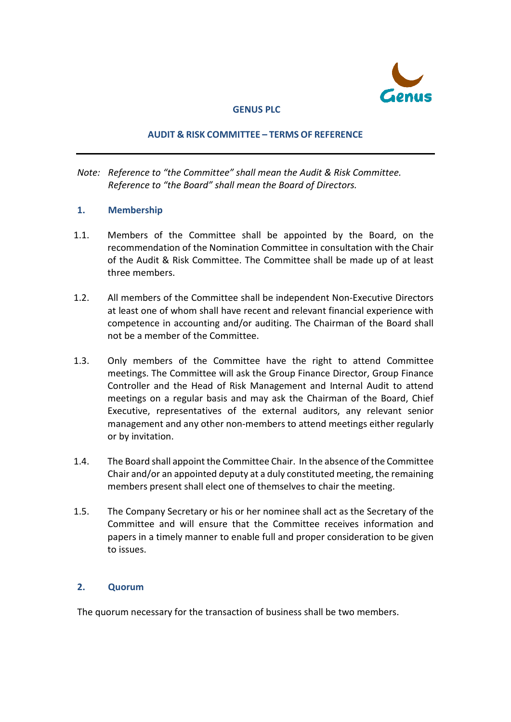

#### **GENUS PLC**

### **AUDIT & RISK COMMITTEE – TERMS OF REFERENCE**

*Note: Reference to "the Committee" shall mean the Audit & Risk Committee. Reference to "the Board" shall mean the Board of Directors.*

### **1. Membership**

- 1.1. Members of the Committee shall be appointed by the Board, on the recommendation of the Nomination Committee in consultation with the Chair of the Audit & Risk Committee. The Committee shall be made up of at least three members.
- 1.2. All members of the Committee shall be independent Non-Executive Directors at least one of whom shall have recent and relevant financial experience with competence in accounting and/or auditing. The Chairman of the Board shall not be a member of the Committee.
- 1.3. Only members of the Committee have the right to attend Committee meetings. The Committee will ask the Group Finance Director, Group Finance Controller and the Head of Risk Management and Internal Audit to attend meetings on a regular basis and may ask the Chairman of the Board, Chief Executive, representatives of the external auditors, any relevant senior management and any other non-members to attend meetings either regularly or by invitation.
- 1.4. The Board shall appoint the Committee Chair. In the absence of the Committee Chair and/or an appointed deputy at a duly constituted meeting, the remaining members present shall elect one of themselves to chair the meeting.
- 1.5. The Company Secretary or his or her nominee shall act as the Secretary of the Committee and will ensure that the Committee receives information and papers in a timely manner to enable full and proper consideration to be given to issues.

### **2. Quorum**

The quorum necessary for the transaction of business shall be two members.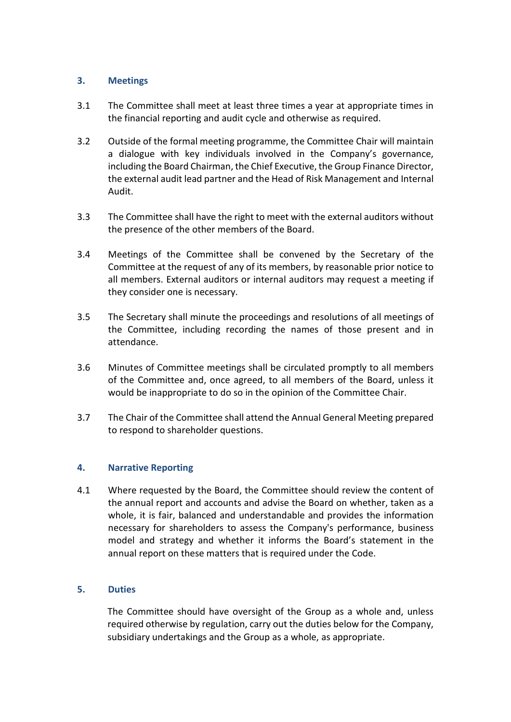# **3. Meetings**

- 3.1 The Committee shall meet at least three times a year at appropriate times in the financial reporting and audit cycle and otherwise as required.
- 3.2 Outside of the formal meeting programme, the Committee Chair will maintain a dialogue with key individuals involved in the Company's governance, including the Board Chairman, the Chief Executive, the Group Finance Director, the external audit lead partner and the Head of Risk Management and Internal Audit.
- 3.3 The Committee shall have the right to meet with the external auditors without the presence of the other members of the Board.
- 3.4 Meetings of the Committee shall be convened by the Secretary of the Committee at the request of any of its members, by reasonable prior notice to all members. External auditors or internal auditors may request a meeting if they consider one is necessary.
- 3.5 The Secretary shall minute the proceedings and resolutions of all meetings of the Committee, including recording the names of those present and in attendance.
- 3.6 Minutes of Committee meetings shall be circulated promptly to all members of the Committee and, once agreed, to all members of the Board, unless it would be inappropriate to do so in the opinion of the Committee Chair.
- 3.7 The Chair of the Committee shall attend the Annual General Meeting prepared to respond to shareholder questions.

### **4. Narrative Reporting**

4.1 Where requested by the Board, the Committee should review the content of the annual report and accounts and advise the Board on whether, taken as a whole, it is fair, balanced and understandable and provides the information necessary for shareholders to assess the Company's performance, business model and strategy and whether it informs the Board's statement in the annual report on these matters that is required under the Code.

### **5. Duties**

The Committee should have oversight of the Group as a whole and, unless required otherwise by regulation, carry out the duties below for the Company, subsidiary undertakings and the Group as a whole, as appropriate.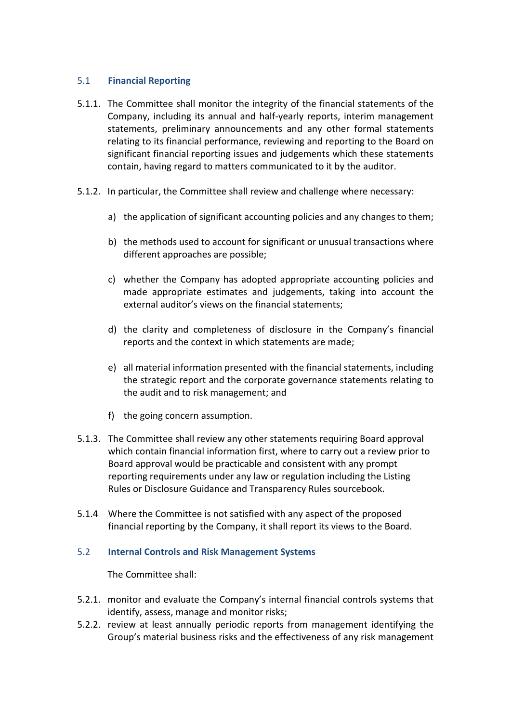# 5.1 **Financial Reporting**

- 5.1.1. The Committee shall monitor the integrity of the financial statements of the Company, including its annual and half-yearly reports, interim management statements, preliminary announcements and any other formal statements relating to its financial performance, reviewing and reporting to the Board on significant financial reporting issues and judgements which these statements contain, having regard to matters communicated to it by the auditor.
- 5.1.2. In particular, the Committee shall review and challenge where necessary:
	- a) the application of significant accounting policies and any changes to them;
	- b) the methods used to account for significant or unusual transactions where different approaches are possible;
	- c) whether the Company has adopted appropriate accounting policies and made appropriate estimates and judgements, taking into account the external auditor's views on the financial statements;
	- d) the clarity and completeness of disclosure in the Company's financial reports and the context in which statements are made;
	- e) all material information presented with the financial statements, including the strategic report and the corporate governance statements relating to the audit and to risk management; and
	- f) the going concern assumption.
- 5.1.3. The Committee shall review any other statements requiring Board approval which contain financial information first, where to carry out a review prior to Board approval would be practicable and consistent with any prompt reporting requirements under any law or regulation including the Listing Rules or Disclosure Guidance and Transparency Rules sourcebook.
- 5.1.4 Where the Committee is not satisfied with any aspect of the proposed financial reporting by the Company, it shall report its views to the Board.

### 5.2 **Internal Controls and Risk Management Systems**

The Committee shall:

- 5.2.1. monitor and evaluate the Company's internal financial controls systems that identify, assess, manage and monitor risks;
- 5.2.2. review at least annually periodic reports from management identifying the Group's material business risks and the effectiveness of any risk management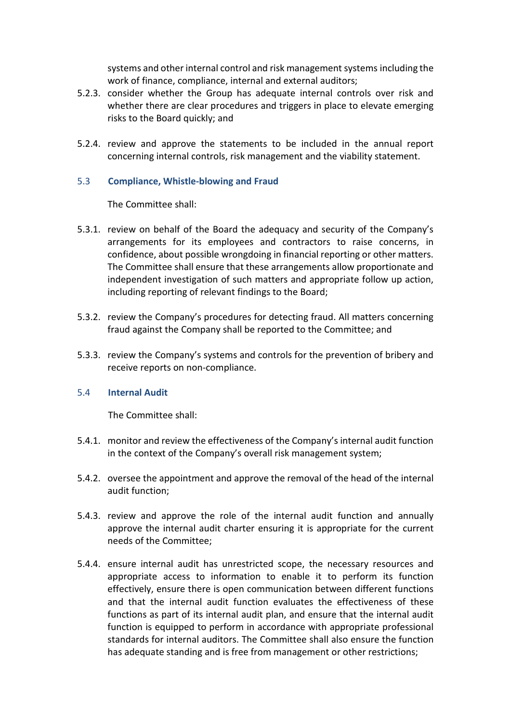systems and other internal control and risk management systems including the work of finance, compliance, internal and external auditors;

- 5.2.3. consider whether the Group has adequate internal controls over risk and whether there are clear procedures and triggers in place to elevate emerging risks to the Board quickly; and
- 5.2.4. review and approve the statements to be included in the annual report concerning internal controls, risk management and the viability statement.

### 5.3 **Compliance, Whistle-blowing and Fraud**

The Committee shall:

- 5.3.1. review on behalf of the Board the adequacy and security of the Company's arrangements for its employees and contractors to raise concerns, in confidence, about possible wrongdoing in financial reporting or other matters. The Committee shall ensure that these arrangements allow proportionate and independent investigation of such matters and appropriate follow up action, including reporting of relevant findings to the Board;
- 5.3.2. review the Company's procedures for detecting fraud. All matters concerning fraud against the Company shall be reported to the Committee; and
- 5.3.3. review the Company's systems and controls for the prevention of bribery and receive reports on non-compliance.

### 5.4 **Internal Audit**

The Committee shall:

- 5.4.1. monitor and review the effectiveness of the Company's internal audit function in the context of the Company's overall risk management system;
- 5.4.2. oversee the appointment and approve the removal of the head of the internal audit function;
- 5.4.3. review and approve the role of the internal audit function and annually approve the internal audit charter ensuring it is appropriate for the current needs of the Committee;
- 5.4.4. ensure internal audit has unrestricted scope, the necessary resources and appropriate access to information to enable it to perform its function effectively, ensure there is open communication between different functions and that the internal audit function evaluates the effectiveness of these functions as part of its internal audit plan, and ensure that the internal audit function is equipped to perform in accordance with appropriate professional standards for internal auditors. The Committee shall also ensure the function has adequate standing and is free from management or other restrictions;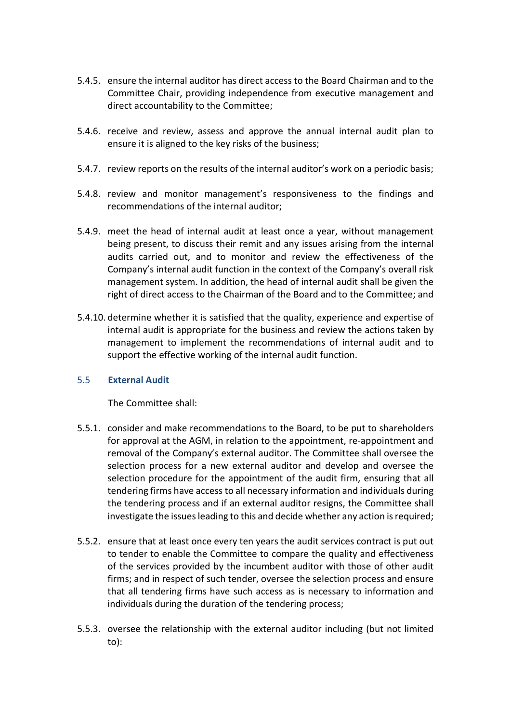- 5.4.5. ensure the internal auditor has direct access to the Board Chairman and to the Committee Chair, providing independence from executive management and direct accountability to the Committee;
- 5.4.6. receive and review, assess and approve the annual internal audit plan to ensure it is aligned to the key risks of the business;
- 5.4.7. review reports on the results of the internal auditor's work on a periodic basis;
- 5.4.8. review and monitor management's responsiveness to the findings and recommendations of the internal auditor;
- 5.4.9. meet the head of internal audit at least once a year, without management being present, to discuss their remit and any issues arising from the internal audits carried out, and to monitor and review the effectiveness of the Company's internal audit function in the context of the Company's overall risk management system. In addition, the head of internal audit shall be given the right of direct access to the Chairman of the Board and to the Committee; and
- 5.4.10. determine whether it is satisfied that the quality, experience and expertise of internal audit is appropriate for the business and review the actions taken by management to implement the recommendations of internal audit and to support the effective working of the internal audit function.

#### 5.5 **External Audit**

The Committee shall:

- 5.5.1. consider and make recommendations to the Board, to be put to shareholders for approval at the AGM, in relation to the appointment, re-appointment and removal of the Company's external auditor. The Committee shall oversee the selection process for a new external auditor and develop and oversee the selection procedure for the appointment of the audit firm, ensuring that all tendering firms have access to all necessary information and individuals during the tendering process and if an external auditor resigns, the Committee shall investigate the issues leading to this and decide whether any action is required;
- 5.5.2. ensure that at least once every ten years the audit services contract is put out to tender to enable the Committee to compare the quality and effectiveness of the services provided by the incumbent auditor with those of other audit firms; and in respect of such tender, oversee the selection process and ensure that all tendering firms have such access as is necessary to information and individuals during the duration of the tendering process;
- 5.5.3. oversee the relationship with the external auditor including (but not limited to):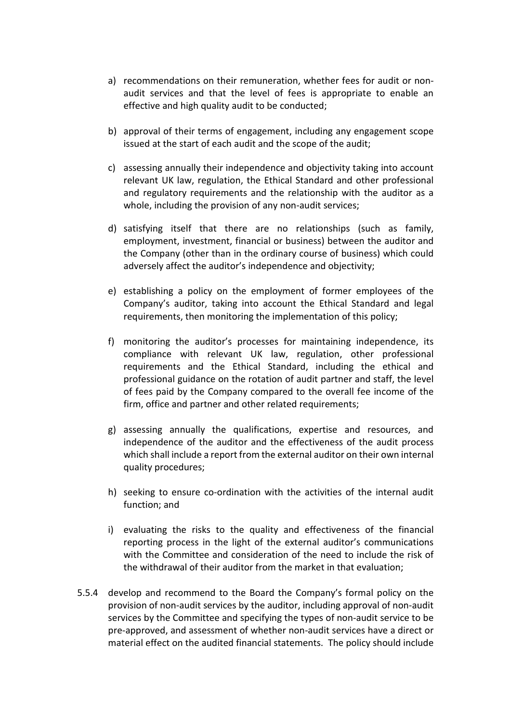- a) recommendations on their remuneration, whether fees for audit or nonaudit services and that the level of fees is appropriate to enable an effective and high quality audit to be conducted;
- b) approval of their terms of engagement, including any engagement scope issued at the start of each audit and the scope of the audit;
- c) assessing annually their independence and objectivity taking into account relevant UK law, regulation, the Ethical Standard and other professional and regulatory requirements and the relationship with the auditor as a whole, including the provision of any non-audit services;
- d) satisfying itself that there are no relationships (such as family, employment, investment, financial or business) between the auditor and the Company (other than in the ordinary course of business) which could adversely affect the auditor's independence and objectivity;
- e) establishing a policy on the employment of former employees of the Company's auditor, taking into account the Ethical Standard and legal requirements, then monitoring the implementation of this policy;
- f) monitoring the auditor's processes for maintaining independence, its compliance with relevant UK law, regulation, other professional requirements and the Ethical Standard, including the ethical and professional guidance on the rotation of audit partner and staff, the level of fees paid by the Company compared to the overall fee income of the firm, office and partner and other related requirements;
- g) assessing annually the qualifications, expertise and resources, and independence of the auditor and the effectiveness of the audit process which shall include a report from the external auditor on their own internal quality procedures;
- h) seeking to ensure co-ordination with the activities of the internal audit function; and
- i) evaluating the risks to the quality and effectiveness of the financial reporting process in the light of the external auditor's communications with the Committee and consideration of the need to include the risk of the withdrawal of their auditor from the market in that evaluation;
- 5.5.4 develop and recommend to the Board the Company's formal policy on the provision of non-audit services by the auditor, including approval of non-audit services by the Committee and specifying the types of non-audit service to be pre-approved, and assessment of whether non-audit services have a direct or material effect on the audited financial statements. The policy should include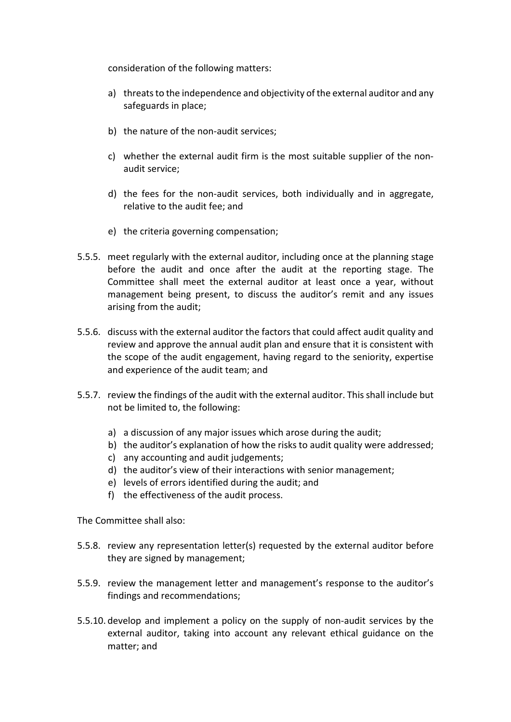consideration of the following matters:

- a) threats to the independence and objectivity of the external auditor and any safeguards in place;
- b) the nature of the non-audit services;
- c) whether the external audit firm is the most suitable supplier of the nonaudit service;
- d) the fees for the non-audit services, both individually and in aggregate, relative to the audit fee; and
- e) the criteria governing compensation;
- 5.5.5. meet regularly with the external auditor, including once at the planning stage before the audit and once after the audit at the reporting stage. The Committee shall meet the external auditor at least once a year, without management being present, to discuss the auditor's remit and any issues arising from the audit;
- 5.5.6. discuss with the external auditor the factors that could affect audit quality and review and approve the annual audit plan and ensure that it is consistent with the scope of the audit engagement, having regard to the seniority, expertise and experience of the audit team; and
- 5.5.7. review the findings of the audit with the external auditor. This shall include but not be limited to, the following:
	- a) a discussion of any major issues which arose during the audit;
	- b) the auditor's explanation of how the risks to audit quality were addressed;
	- c) any accounting and audit judgements;
	- d) the auditor's view of their interactions with senior management;
	- e) levels of errors identified during the audit; and
	- f) the effectiveness of the audit process.

The Committee shall also:

- 5.5.8. review any representation letter(s) requested by the external auditor before they are signed by management;
- 5.5.9. review the management letter and management's response to the auditor's findings and recommendations;
- 5.5.10. develop and implement a policy on the supply of non-audit services by the external auditor, taking into account any relevant ethical guidance on the matter; and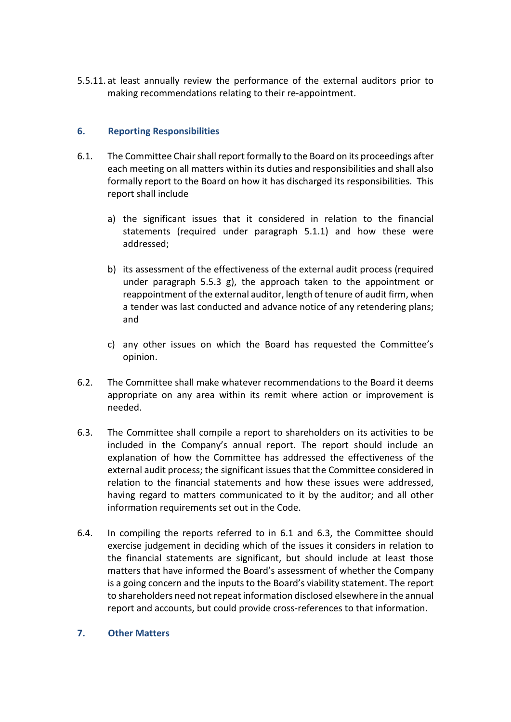5.5.11. at least annually review the performance of the external auditors prior to making recommendations relating to their re-appointment.

## **6. Reporting Responsibilities**

- 6.1. The Committee Chair shall report formally to the Board on its proceedings after each meeting on all matters within its duties and responsibilities and shall also formally report to the Board on how it has discharged its responsibilities. This report shall include
	- a) the significant issues that it considered in relation to the financial statements (required under paragraph 5.1.1) and how these were addressed;
	- b) its assessment of the effectiveness of the external audit process (required under paragraph 5.5.3 g), the approach taken to the appointment or reappointment of the external auditor, length of tenure of audit firm, when a tender was last conducted and advance notice of any retendering plans; and
	- c) any other issues on which the Board has requested the Committee's opinion.
- 6.2. The Committee shall make whatever recommendations to the Board it deems appropriate on any area within its remit where action or improvement is needed.
- 6.3. The Committee shall compile a report to shareholders on its activities to be included in the Company's annual report. The report should include an explanation of how the Committee has addressed the effectiveness of the external audit process; the significant issues that the Committee considered in relation to the financial statements and how these issues were addressed, having regard to matters communicated to it by the auditor; and all other information requirements set out in the Code.
- 6.4. In compiling the reports referred to in 6.1 and 6.3, the Committee should exercise judgement in deciding which of the issues it considers in relation to the financial statements are significant, but should include at least those matters that have informed the Board's assessment of whether the Company is a going concern and the inputs to the Board's viability statement. The report to shareholders need not repeat information disclosed elsewhere in the annual report and accounts, but could provide cross-references to that information.
- **7. Other Matters**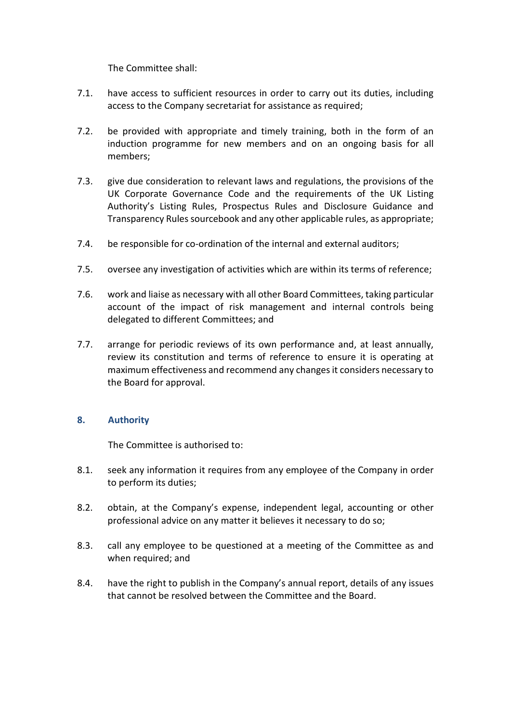The Committee shall:

- 7.1. have access to sufficient resources in order to carry out its duties, including access to the Company secretariat for assistance as required;
- 7.2. be provided with appropriate and timely training, both in the form of an induction programme for new members and on an ongoing basis for all members;
- 7.3. give due consideration to relevant laws and regulations, the provisions of the UK Corporate Governance Code and the requirements of the UK Listing Authority's Listing Rules, Prospectus Rules and Disclosure Guidance and Transparency Rules sourcebook and any other applicable rules, as appropriate;
- 7.4. be responsible for co-ordination of the internal and external auditors;
- 7.5. oversee any investigation of activities which are within its terms of reference;
- 7.6. work and liaise as necessary with all other Board Committees, taking particular account of the impact of risk management and internal controls being delegated to different Committees; and
- 7.7. arrange for periodic reviews of its own performance and, at least annually, review its constitution and terms of reference to ensure it is operating at maximum effectiveness and recommend any changes it considers necessary to the Board for approval.

### **8. Authority**

The Committee is authorised to:

- 8.1. seek any information it requires from any employee of the Company in order to perform its duties;
- 8.2. obtain, at the Company's expense, independent legal, accounting or other professional advice on any matter it believes it necessary to do so;
- 8.3. call any employee to be questioned at a meeting of the Committee as and when required; and
- 8.4. have the right to publish in the Company's annual report, details of any issues that cannot be resolved between the Committee and the Board.